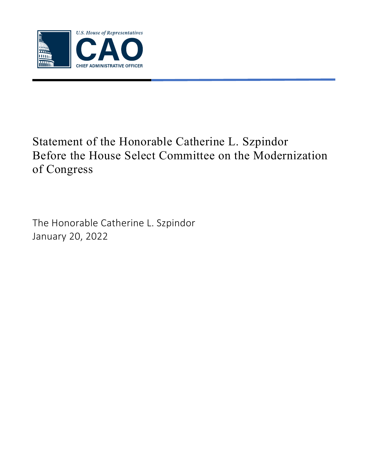

# Statement of the Honorable Catherine L. Szpindor Before the House Select Committee on the Modernization of Congress

The Honorable Catherine L. Szpindor January 20, 2022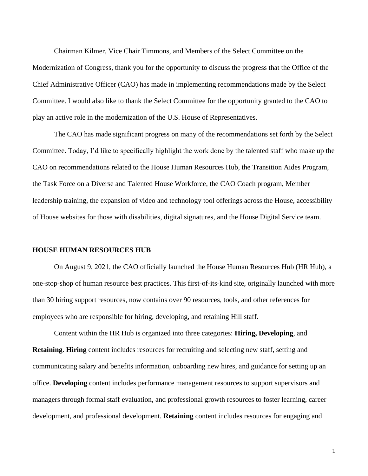Chairman Kilmer, Vice Chair Timmons, and Members of the Select Committee on the Modernization of Congress, thank you for the opportunity to discuss the progress that the Office of the Chief Administrative Officer (CAO) has made in implementing recommendations made by the Select Committee. I would also like to thank the Select Committee for the opportunity granted to the CAO to play an active role in the modernization of the U.S. House of Representatives.

The CAO has made significant progress on many of the recommendations set forth by the Select Committee. Today, I'd like to specifically highlight the work done by the talented staff who make up the CAO on recommendations related to the House Human Resources Hub, the Transition Aides Program, the Task Force on a Diverse and Talented House Workforce, the CAO Coach program, Member leadership training, the expansion of video and technology tool offerings across the House, accessibility of House websites for those with disabilities, digital signatures, and the House Digital Service team.

#### **HOUSE HUMAN RESOURCES HUB**

On August 9, 2021, the CAO officially launched the House Human Resources Hub (HR Hub), a one-stop-shop of human resource best practices. This first-of-its-kind site, originally launched with more than 30 hiring support resources, now contains over 90 resources, tools, and other references for employees who are responsible for hiring, developing, and retaining Hill staff.

Content within the HR Hub is organized into three categories: **Hiring, Developing**, and **Retaining**. **Hiring** content includes resources for recruiting and selecting new staff, setting and communicating salary and benefits information, onboarding new hires, and guidance for setting up an office. **Developing** content includes performance management resources to support supervisors and managers through formal staff evaluation, and professional growth resources to foster learning, career development, and professional development. **Retaining** content includes resources for engaging and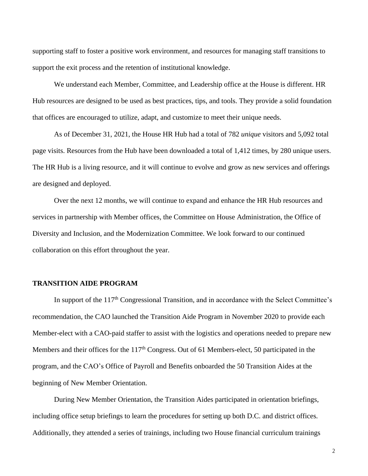supporting staff to foster a positive work environment, and resources for managing staff transitions to support the exit process and the retention of institutional knowledge.

We understand each Member, Committee, and Leadership office at the House is different. HR Hub resources are designed to be used as best practices, tips, and tools. They provide a solid foundation that offices are encouraged to utilize, adapt, and customize to meet their unique needs.

As of December 31, 2021, the House HR Hub had a total of 782 *unique* visitors and 5,092 total page visits. Resources from the Hub have been downloaded a total of 1,412 times, by 280 unique users. The HR Hub is a living resource, and it will continue to evolve and grow as new services and offerings are designed and deployed.

Over the next 12 months, we will continue to expand and enhance the HR Hub resources and services in partnership with Member offices, the Committee on House Administration, the Office of Diversity and Inclusion, and the Modernization Committee. We look forward to our continued collaboration on this effort throughout the year.

#### **TRANSITION AIDE PROGRAM**

In support of the  $117<sup>th</sup>$  Congressional Transition, and in accordance with the Select Committee's recommendation, the CAO launched the Transition Aide Program in November 2020 to provide each Member-elect with a CAO-paid staffer to assist with the logistics and operations needed to prepare new Members and their offices for the 117<sup>th</sup> Congress. Out of 61 Members-elect, 50 participated in the program, and the CAO's Office of Payroll and Benefits onboarded the 50 Transition Aides at the beginning of New Member Orientation.

During New Member Orientation, the Transition Aides participated in orientation briefings, including office setup briefings to learn the procedures for setting up both D.C. and district offices. Additionally, they attended a series of trainings, including two House financial curriculum trainings

2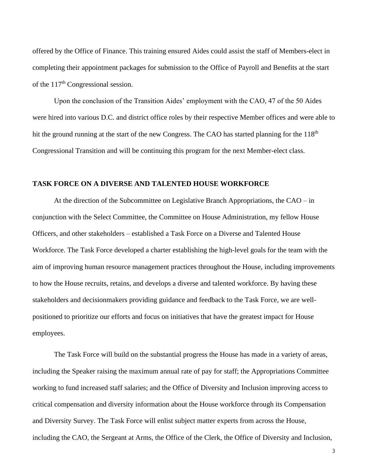offered by the Office of Finance. This training ensured Aides could assist the staff of Members-elect in completing their appointment packages for submission to the Office of Payroll and Benefits at the start of the 117<sup>th</sup> Congressional session.

Upon the conclusion of the Transition Aides' employment with the CAO, 47 of the 50 Aides were hired into various D.C. and district office roles by their respective Member offices and were able to hit the ground running at the start of the new Congress. The CAO has started planning for the 118<sup>th</sup> Congressional Transition and will be continuing this program for the next Member-elect class.

#### **TASK FORCE ON A DIVERSE AND TALENTED HOUSE WORKFORCE**

At the direction of the Subcommittee on Legislative Branch Appropriations, the CAO – in conjunction with the Select Committee, the Committee on House Administration, my fellow House Officers, and other stakeholders – established a Task Force on a Diverse and Talented House Workforce. The Task Force developed a charter establishing the high-level goals for the team with the aim of improving human resource management practices throughout the House, including improvements to how the House recruits, retains, and develops a diverse and talented workforce. By having these stakeholders and decisionmakers providing guidance and feedback to the Task Force, we are wellpositioned to prioritize our efforts and focus on initiatives that have the greatest impact for House employees.

The Task Force will build on the substantial progress the House has made in a variety of areas, including the Speaker raising the maximum annual rate of pay for staff; the Appropriations Committee working to fund increased staff salaries; and the Office of Diversity and Inclusion improving access to critical compensation and diversity information about the House workforce through its Compensation and Diversity Survey. The Task Force will enlist subject matter experts from across the House, including the CAO, the Sergeant at Arms, the Office of the Clerk, the Office of Diversity and Inclusion,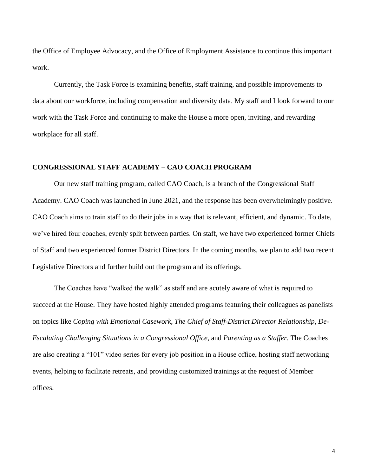the Office of Employee Advocacy, and the Office of Employment Assistance to continue this important work.

Currently, the Task Force is examining benefits, staff training, and possible improvements to data about our workforce, including compensation and diversity data. My staff and I look forward to our work with the Task Force and continuing to make the House a more open, inviting, and rewarding workplace for all staff.

## **CONGRESSIONAL STAFF ACADEMY – CAO COACH PROGRAM**

Our new staff training program, called CAO Coach, is a branch of the Congressional Staff Academy. CAO Coach was launched in June 2021, and the response has been overwhelmingly positive. CAO Coach aims to train staff to do their jobs in a way that is relevant, efficient, and dynamic. To date, we've hired four coaches, evenly split between parties. On staff, we have two experienced former Chiefs of Staff and two experienced former District Directors. In the coming months, we plan to add two recent Legislative Directors and further build out the program and its offerings.

The Coaches have "walked the walk" as staff and are acutely aware of what is required to succeed at the House. They have hosted highly attended programs featuring their colleagues as panelists on topics like *Coping with Emotional Casework*, *The Chief of Staff-District Director Relationship*, *De-Escalating Challenging Situations in a Congressional Office*, and *Parenting as a Staffer*. The Coaches are also creating a "101" video series for every job position in a House office, hosting staff networking events, helping to facilitate retreats, and providing customized trainings at the request of Member offices.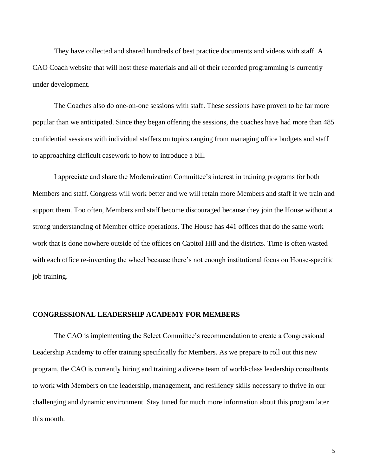They have collected and shared hundreds of best practice documents and videos with staff. A CAO Coach website that will host these materials and all of their recorded programming is currently under development.

The Coaches also do one-on-one sessions with staff. These sessions have proven to be far more popular than we anticipated. Since they began offering the sessions, the coaches have had more than 485 confidential sessions with individual staffers on topics ranging from managing office budgets and staff to approaching difficult casework to how to introduce a bill.

I appreciate and share the Modernization Committee's interest in training programs for both Members and staff. Congress will work better and we will retain more Members and staff if we train and support them. Too often, Members and staff become discouraged because they join the House without a strong understanding of Member office operations. The House has 441 offices that do the same work – work that is done nowhere outside of the offices on Capitol Hill and the districts. Time is often wasted with each office re-inventing the wheel because there's not enough institutional focus on House-specific job training.

# **CONGRESSIONAL LEADERSHIP ACADEMY FOR MEMBERS**

The CAO is implementing the Select Committee's recommendation to create a Congressional Leadership Academy to offer training specifically for Members. As we prepare to roll out this new program, the CAO is currently hiring and training a diverse team of world-class leadership consultants to work with Members on the leadership, management, and resiliency skills necessary to thrive in our challenging and dynamic environment. Stay tuned for much more information about this program later this month.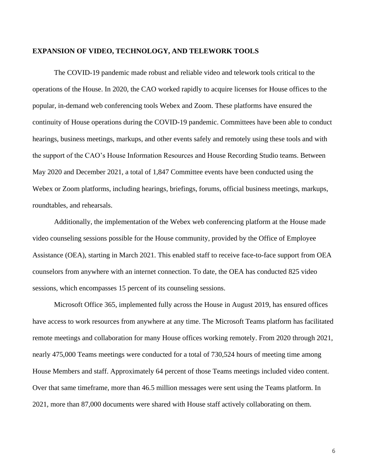#### **EXPANSION OF VIDEO, TECHNOLOGY, AND TELEWORK TOOLS**

The COVID-19 pandemic made robust and reliable video and telework tools critical to the operations of the House. In 2020, the CAO worked rapidly to acquire licenses for House offices to the popular, in-demand web conferencing tools Webex and Zoom. These platforms have ensured the continuity of House operations during the COVID-19 pandemic. Committees have been able to conduct hearings, business meetings, markups, and other events safely and remotely using these tools and with the support of the CAO's House Information Resources and House Recording Studio teams. Between May 2020 and December 2021, a total of 1,847 Committee events have been conducted using the Webex or Zoom platforms, including hearings, briefings, forums, official business meetings, markups, roundtables, and rehearsals.

Additionally, the implementation of the Webex web conferencing platform at the House made video counseling sessions possible for the House community, provided by the Office of Employee Assistance (OEA), starting in March 2021. This enabled staff to receive face-to-face support from OEA counselors from anywhere with an internet connection. To date, the OEA has conducted 825 video sessions, which encompasses 15 percent of its counseling sessions.

Microsoft Office 365, implemented fully across the House in August 2019, has ensured offices have access to work resources from anywhere at any time. The Microsoft Teams platform has facilitated remote meetings and collaboration for many House offices working remotely. From 2020 through 2021, nearly 475,000 Teams meetings were conducted for a total of 730,524 hours of meeting time among House Members and staff. Approximately 64 percent of those Teams meetings included video content. Over that same timeframe, more than 46.5 million messages were sent using the Teams platform. In 2021, more than 87,000 documents were shared with House staff actively collaborating on them.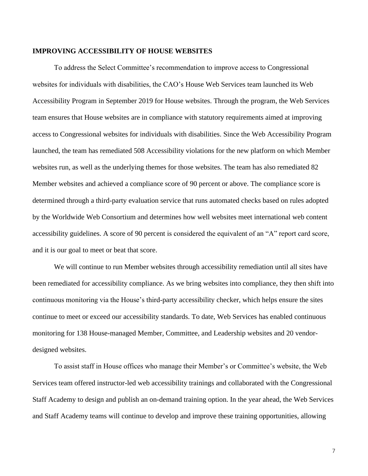#### **IMPROVING ACCESSIBILITY OF HOUSE WEBSITES**

To address the Select Committee's recommendation to improve access to Congressional websites for individuals with disabilities, the CAO's House Web Services team launched its Web Accessibility Program in September 2019 for House websites. Through the program, the Web Services team ensures that House websites are in compliance with statutory requirements aimed at improving access to Congressional websites for individuals with disabilities. Since the Web Accessibility Program launched, the team has remediated 508 Accessibility violations for the new platform on which Member websites run, as well as the underlying themes for those websites. The team has also remediated 82 Member websites and achieved a compliance score of 90 percent or above. The compliance score is determined through a third-party evaluation service that runs automated checks based on rules adopted by the Worldwide Web Consortium and determines how well websites meet international web content accessibility guidelines. A score of 90 percent is considered the equivalent of an "A" report card score, and it is our goal to meet or beat that score.

We will continue to run Member websites through accessibility remediation until all sites have been remediated for accessibility compliance. As we bring websites into compliance, they then shift into continuous monitoring via the House's third-party accessibility checker, which helps ensure the sites continue to meet or exceed our accessibility standards. To date, Web Services has enabled continuous monitoring for 138 House-managed Member, Committee, and Leadership websites and 20 vendordesigned websites.

To assist staff in House offices who manage their Member's or Committee's website, the Web Services team offered instructor-led web accessibility trainings and collaborated with the Congressional Staff Academy to design and publish an on-demand training option. In the year ahead, the Web Services and Staff Academy teams will continue to develop and improve these training opportunities, allowing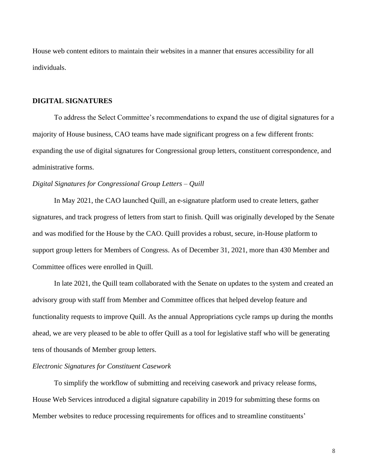House web content editors to maintain their websites in a manner that ensures accessibility for all individuals.

# **DIGITAL SIGNATURES**

To address the Select Committee's recommendations to expand the use of digital signatures for a majority of House business, CAO teams have made significant progress on a few different fronts: expanding the use of digital signatures for Congressional group letters, constituent correspondence, and administrative forms.

#### *Digital Signatures for Congressional Group Letters – Quill*

In May 2021, the CAO launched Quill, an e-signature platform used to create letters, gather signatures, and track progress of letters from start to finish. Quill was originally developed by the Senate and was modified for the House by the CAO. Quill provides a robust, secure, in-House platform to support group letters for Members of Congress. As of December 31, 2021, more than 430 Member and Committee offices were enrolled in Quill.

In late 2021, the Quill team collaborated with the Senate on updates to the system and created an advisory group with staff from Member and Committee offices that helped develop feature and functionality requests to improve Quill. As the annual Appropriations cycle ramps up during the months ahead, we are very pleased to be able to offer Quill as a tool for legislative staff who will be generating tens of thousands of Member group letters.

## *Electronic Signatures for Constituent Casework*

To simplify the workflow of submitting and receiving casework and privacy release forms, House Web Services introduced a digital signature capability in 2019 for submitting these forms on Member websites to reduce processing requirements for offices and to streamline constituents'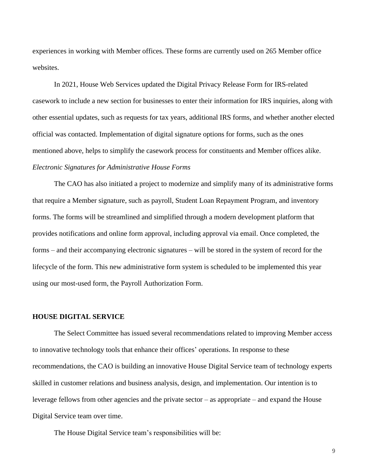experiences in working with Member offices. These forms are currently used on 265 Member office websites.

In 2021, House Web Services updated the Digital Privacy Release Form for IRS-related casework to include a new section for businesses to enter their information for IRS inquiries, along with other essential updates, such as requests for tax years, additional IRS forms, and whether another elected official was contacted. Implementation of digital signature options for forms, such as the ones mentioned above, helps to simplify the casework process for constituents and Member offices alike. *Electronic Signatures for Administrative House Forms*

The CAO has also initiated a project to modernize and simplify many of its administrative forms that require a Member signature, such as payroll, Student Loan Repayment Program, and inventory forms. The forms will be streamlined and simplified through a modern development platform that provides notifications and online form approval, including approval via email. Once completed, the forms – and their accompanying electronic signatures – will be stored in the system of record for the lifecycle of the form. This new administrative form system is scheduled to be implemented this year using our most-used form, the Payroll Authorization Form.

#### **HOUSE DIGITAL SERVICE**

The Select Committee has issued several recommendations related to improving Member access to innovative technology tools that enhance their offices' operations. In response to these recommendations, the CAO is building an innovative House Digital Service team of technology experts skilled in customer relations and business analysis, design, and implementation. Our intention is to leverage fellows from other agencies and the private sector – as appropriate – and expand the House Digital Service team over time.

The House Digital Service team's responsibilities will be: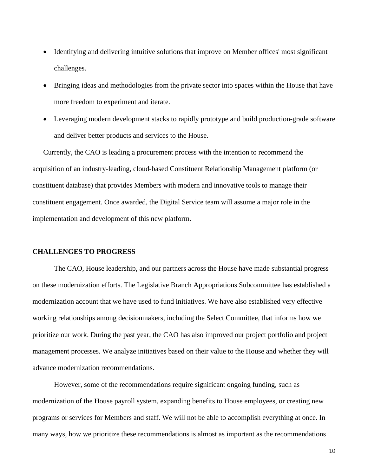- Identifying and delivering intuitive solutions that improve on Member offices' most significant challenges.
- Bringing ideas and methodologies from the private sector into spaces within the House that have more freedom to experiment and iterate.
- Leveraging modern development stacks to rapidly prototype and build production-grade software and deliver better products and services to the House.

Currently, the CAO is leading a procurement process with the intention to recommend the acquisition of an industry-leading, cloud-based Constituent Relationship Management platform (or constituent database) that provides Members with modern and innovative tools to manage their constituent engagement. Once awarded, the Digital Service team will assume a major role in the implementation and development of this new platform.

# **CHALLENGES TO PROGRESS**

The CAO, House leadership, and our partners across the House have made substantial progress on these modernization efforts. The Legislative Branch Appropriations Subcommittee has established a modernization account that we have used to fund initiatives. We have also established very effective working relationships among decisionmakers, including the Select Committee, that informs how we prioritize our work. During the past year, the CAO has also improved our project portfolio and project management processes. We analyze initiatives based on their value to the House and whether they will advance modernization recommendations.

However, some of the recommendations require significant ongoing funding, such as modernization of the House payroll system, expanding benefits to House employees, or creating new programs or services for Members and staff. We will not be able to accomplish everything at once. In many ways, how we prioritize these recommendations is almost as important as the recommendations